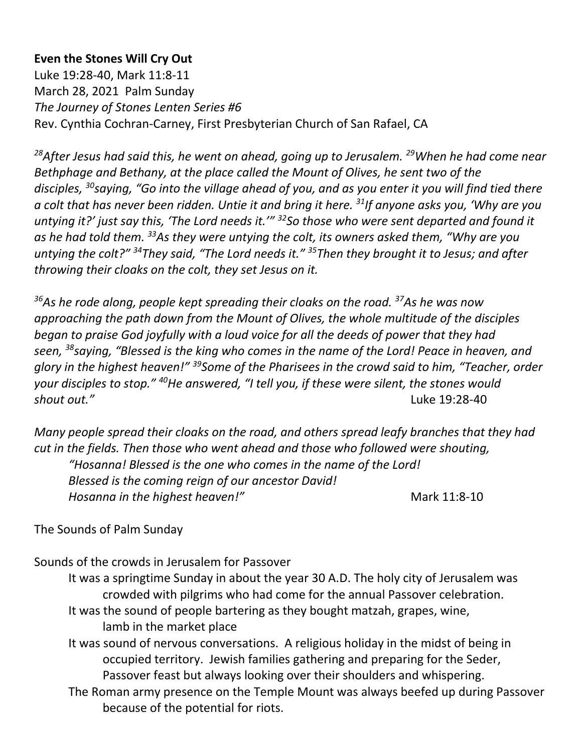### **Even the Stones Will Cry Out**

Luke 19:28-40, Mark 11:8-11 March 28, 2021 Palm Sunday *The Journey of Stones Lenten Series #6* Rev. Cynthia Cochran-Carney, First Presbyterian Church of San Rafael, CA

*<sup>28</sup>After Jesus had said this, he went on ahead, going up to Jerusalem. <sup>29</sup>When he had come near Bethphage and Bethany, at the place called the Mount of Olives, he sent two of the disciples, <sup>30</sup>saying, "Go into the village ahead of you, and as you enter it you will find tied there a colt that has never been ridden. Untie it and bring it here. <sup>31</sup>If anyone asks you, 'Why are you untying it?' just say this, 'The Lord needs it.'" <sup>32</sup>So those who were sent departed and found it as he had told them. <sup>33</sup>As they were untying the colt, its owners asked them, "Why are you untying the colt?" <sup>34</sup>They said, "The Lord needs it." <sup>35</sup>Then they brought it to Jesus; and after throwing their cloaks on the colt, they set Jesus on it.*

*<sup>36</sup>As he rode along, people kept spreading their cloaks on the road. <sup>37</sup>As he was now approaching the path down from the Mount of Olives, the whole multitude of the disciples began to praise God joyfully with a loud voice for all the deeds of power that they had seen, <sup>38</sup>saying, "Blessed is the king who comes in the name of the Lord! Peace in heaven, and glory in the highest heaven!" <sup>39</sup>Some of the Pharisees in the crowd said to him, "Teacher, order your disciples to stop." <sup>40</sup>He answered, "I tell you, if these were silent, the stones would shout out."* Luke 19:28-40

*Many people spread their cloaks on the road, and others spread leafy branches that they had cut in the fields. Then those who went ahead and those who followed were shouting, "Hosanna! Blessed is the one who comes in the name of the Lord! Blessed is the coming reign of our ancestor David! Hosanna in the highest heaven!"* Mark 11:8-10

#### The Sounds of Palm Sunday

Sounds of the crowds in Jerusalem for Passover

- It was a springtime Sunday in about the year 30 A.D. The holy city of Jerusalem was crowded with pilgrims who had come for the annual Passover celebration. It was the sound of people bartering as they bought matzah, grapes, wine,
	- lamb in the market place
- It was sound of nervous conversations. A religious holiday in the midst of being in occupied territory. Jewish families gathering and preparing for the Seder, Passover feast but always looking over their shoulders and whispering.
- The Roman army presence on the Temple Mount was always beefed up during Passover because of the potential for riots.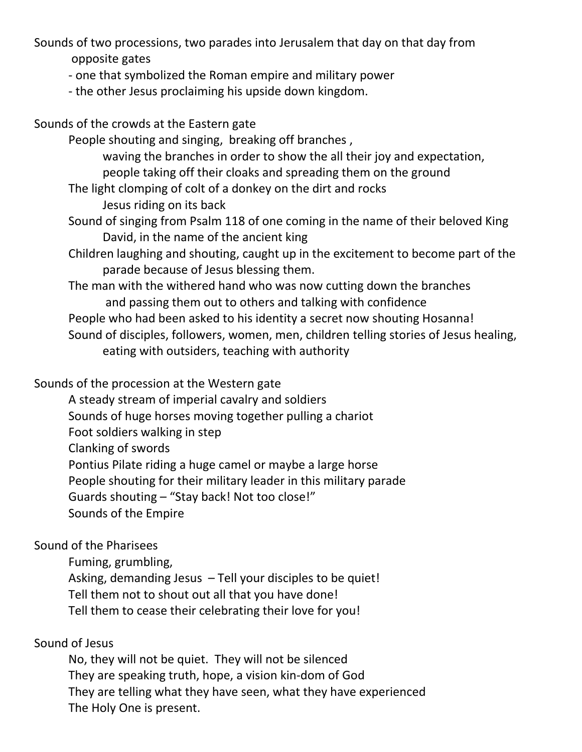Sounds of two processions, two parades into Jerusalem that day on that day from opposite gates

- one that symbolized the Roman empire and military power
- the other Jesus proclaiming his upside down kingdom.

Sounds of the crowds at the Eastern gate

 People shouting and singing, breaking off branches , waving the branches in order to show the all their joy and expectation, people taking off their cloaks and spreading them on the ground

The light clomping of colt of a donkey on the dirt and rocks

Jesus riding on its back

- Sound of singing from Psalm 118 of one coming in the name of their beloved King David, in the name of the ancient king
- Children laughing and shouting, caught up in the excitement to become part of the parade because of Jesus blessing them.

The man with the withered hand who was now cutting down the branches and passing them out to others and talking with confidence People who had been asked to his identity a secret now shouting Hosanna! Sound of disciples, followers, women, men, children telling stories of Jesus healing, eating with outsiders, teaching with authority

## Sounds of the procession at the Western gate

- A steady stream of imperial cavalry and soldiers
- Sounds of huge horses moving together pulling a chariot
- Foot soldiers walking in step
- Clanking of swords

Pontius Pilate riding a huge camel or maybe a large horse

People shouting for their military leader in this military parade

Guards shouting – "Stay back! Not too close!"

Sounds of the Empire

# Sound of the Pharisees

Fuming, grumbling,

Asking, demanding Jesus – Tell your disciples to be quiet! Tell them not to shout out all that you have done! Tell them to cease their celebrating their love for you!

# Sound of Jesus

No, they will not be quiet. They will not be silenced They are speaking truth, hope, a vision kin-dom of God They are telling what they have seen, what they have experienced The Holy One is present.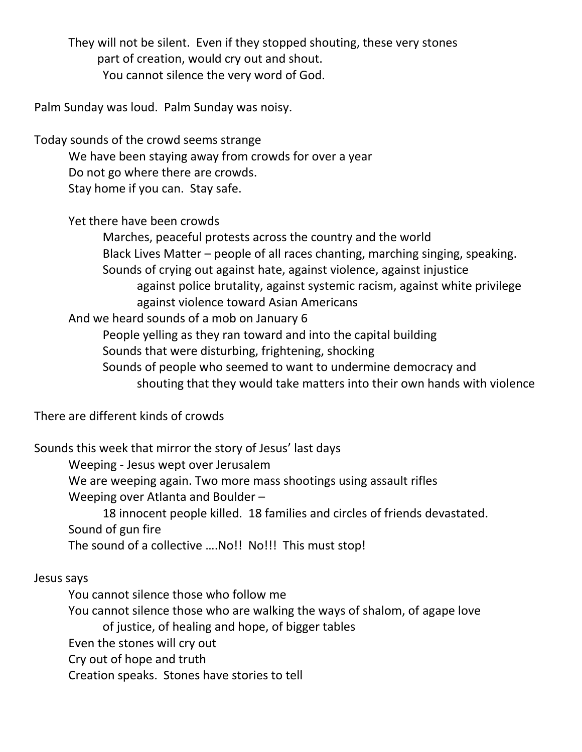They will not be silent. Even if they stopped shouting, these very stones part of creation, would cry out and shout. You cannot silence the very word of God.

Palm Sunday was loud. Palm Sunday was noisy.

Today sounds of the crowd seems strange We have been staying away from crowds for over a year Do not go where there are crowds. Stay home if you can. Stay safe.

Yet there have been crowds

Marches, peaceful protests across the country and the world Black Lives Matter – people of all races chanting, marching singing, speaking. Sounds of crying out against hate, against violence, against injustice against police brutality, against systemic racism, against white privilege against violence toward Asian Americans

And we heard sounds of a mob on January 6

People yelling as they ran toward and into the capital building

Sounds that were disturbing, frightening, shocking

Sounds of people who seemed to want to undermine democracy and shouting that they would take matters into their own hands with violence

There are different kinds of crowds

Sounds this week that mirror the story of Jesus' last days

Weeping - Jesus wept over Jerusalem

We are weeping again. Two more mass shootings using assault rifles

Weeping over Atlanta and Boulder –

18 innocent people killed. 18 families and circles of friends devastated. Sound of gun fire

The sound of a collective .... No!! No!!! This must stop!

Jesus says

You cannot silence those who follow me

You cannot silence those who are walking the ways of shalom, of agape love of justice, of healing and hope, of bigger tables

Even the stones will cry out

Cry out of hope and truth

Creation speaks. Stones have stories to tell